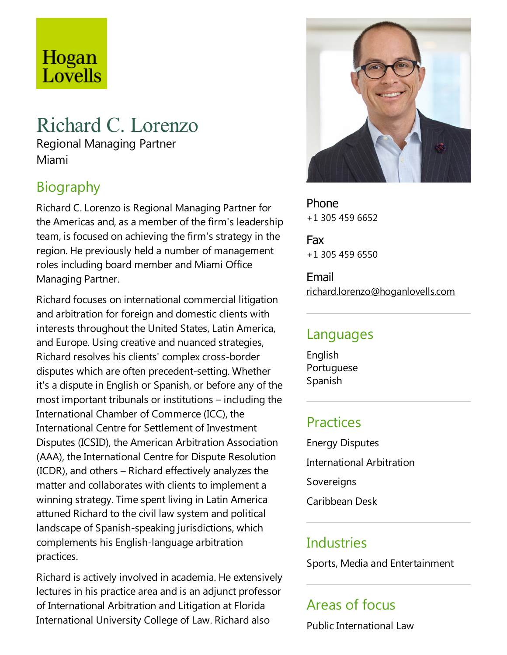# Hogan Lovells

## Richard C. Lorenzo

Regional Managing Partner Miami

## **Biography**

Richard C.Lorenzo is Regional Managing Partner for the Americas and, as a member of the firm's leadership team, is focused on achieving the firm's strategy in the region. He previously held a number of management roles including board member and Miami Office Managing Partner.

Richard focuses on international commercial litigation and arbitration for foreign and domestic clients with interests throughout the United States, Latin America, and Europe. Using creative and nuanced strategies, Richard resolves his clients' complex cross-border disputes which are often precedent-setting. Whether it's a dispute in English or Spanish, or before any of the most important tribunals or institutions – including the International Chamber of Commerce(ICC), the International Centre for Settlement of Investment Disputes (ICSID), the American Arbitration Association (AAA), the International Centre for Dispute Resolution  $(ICDR)$ , and others – Richard effectively analyzes the matter and collaborates with clients to implement a winning strategy. Time spent living in Latin America attuned Richard to the civil law system and political landscape of Spanish-speaking jurisdictions, which complements his English-language arbitration practices.

Richard is actively involved in academia. He extensively lectures in his practice area and is an adjunct professor of International Arbitration and Litigation at Florida International University College of Law. Richard also



Phone +1 305 459 6652

Fax +1 305 459 6550

Email richard.lorenzo@hoganlovells.com

#### Languages

English Portuguese Spanish

## **Practices**

Energy Disputes International Arbitration Sovereigns Caribbean Desk

#### **Industries**

Sports, Media and Entertainment

## Areas of focus

Public International Law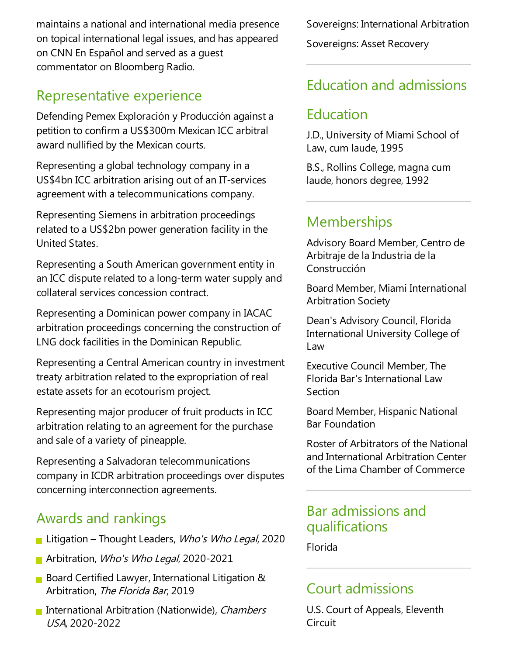maintains a national and international media presence on topical international legal issues, and has appeared on CNN En Español and served as a guest commentator on Bloomberg Radio.

#### Representative experience

Defending Pemex Exploración y Producción against a petition to confirm a US\$300m Mexican ICC arbitral award nullified by the Mexican courts.

Representing a global technology company in a US\$4bn ICC arbitration arising out of an IT-services agreement with a telecommunications company.

Representing Siemens in arbitration proceedings related to a US\$2bn power generation facility in the United States.

Representing a South American government entity in an ICC dispute related to a long-term water supply and collateral services concession contract.

Representing a Dominican power company in IACAC arbitration proceedings concerning the construction of LNG dock facilities in the Dominican Republic.

Representing a Central American country in investment treaty arbitration related to the expropriation of real estate assets for an ecotourism project.

Representing major producer of fruit products in ICC arbitration relating to an agreement for the purchase and sale of a variety of pineapple.

Representing a Salvadoran telecommunications company in ICDR arbitration proceedings over disputes concerning interconnection agreements.

#### Awards and rankings

- **Litigation Thought Leaders, Who's Who Legal, 2020**
- Arbitration, Who's Who Legal, 2020-2021
- **Board Certified Lawyer, International Litigation &** Arbitration, The Florida Bar, 2019
- **International Arbitration (Nationwide), Chambers** USA, 2020-2022

Sovereigns: International Arbitration Sovereigns: Asset Recovery

#### Education and admissions

#### Education

J.D., University of Miami School of Law, cum laude, 1995

B.S., Rollins College, magna cum laude, honors degree, 1992

#### **Memberships**

Advisory Board Member, Centro de Arbitraje de la Industria de la Construcción

Board Member, Miami International Arbitration Society

Dean's Advisory Council, Florida International University College of Law

Executive Council Member, The Florida Bar's International Law Section

Board Member, Hispanic National Bar Foundation

Roster of Arbitrators of the National and International Arbitration Center of the Lima Chamber of Commerce

#### Bar admissions and qualifications

Florida

#### Court admissions

U.S. Court of Appeals, Eleventh **Circuit**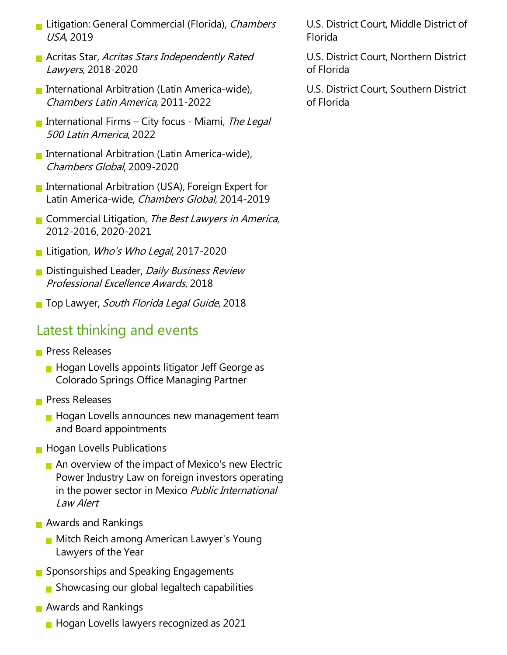- **Litigation: General Commercial (Florida), Chambers** USA, 2019
- **Acritas Star, Acritas Stars Independently Rated** Lawyers, 2018-2020
- International Arbitration (Latin America-wide), Chambers Latin America, 2011-2022
- International Firms City focus Miami, The Legal <sup>500</sup> Latin America, 2022
- International Arbitration (Latin America-wide), Chambers Global, 2009-2020
- International Arbitration (USA), Foreign Expert for Latin America-wide, Chambers Global, 2014-2019
- **Commercial Litigation, The Best Lawyers in America,** 2012-2016, 2020-2021
- **Litigation, Who's Who Legal, 2017-2020**
- **Distinguished Leader, Daily Business Review** ProfessionalExcellence Awards, 2018
- Top Lawyer, South Florida Legal Guide, 2018

#### Latest thinking and events

- **Press Releases** 
	- $\blacksquare$  Hogan Lovells appoints litigator Jeff George as Colorado Springs Office Managing Partner
- **Press Releases** 
	- **Hogan Lovells announces new management team** and Board appointments
- **Hogan Lovells Publications** 
	- $\blacksquare$  An overview of the impact of Mexico's new Electric Power Industry Law on foreign investors operating in the power sector in Mexico Public International Law Alert
- **Awards and Rankings** 
	- **Mitch Reich among American Lawyer's Young** Lawyers of the Year
- Sponsorships and Speaking Engagements
	- Showcasing our global legaltech capabilities
- **Awards and Rankings** 
	- **Hogan Lovells lawyers recognized as 2021**

U.S. District Court, Middle District of Florida

U.S. District Court, Northern District of Florida

U.S. District Court, Southern District of Florida